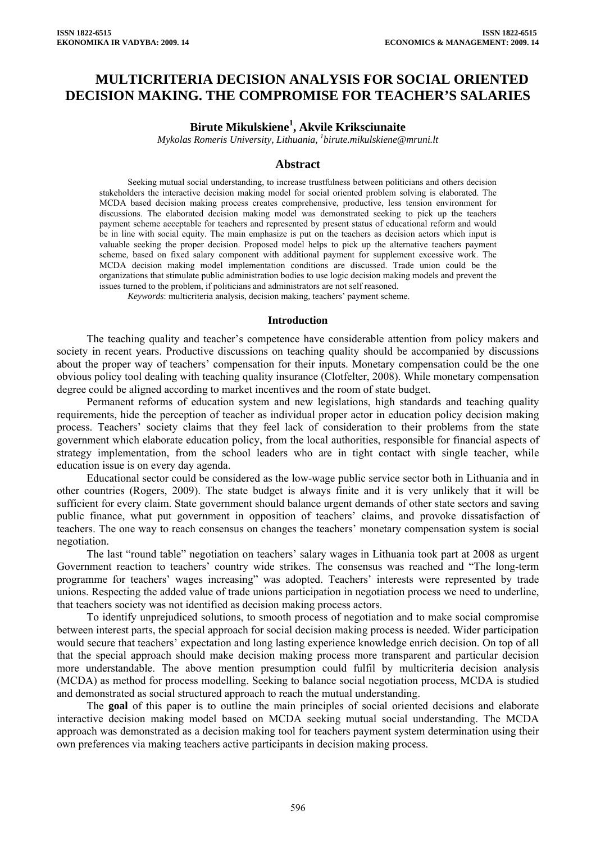# **MULTICRITERIA DECISION ANALYSIS FOR SOCIAL ORIENTED DECISION MAKING. THE COMPROMISE FOR TEACHER'S SALARIES**

# **Birute Mikulskiene<sup>1</sup> , Akvile Kriksciunaite**

*Mykolas Romeris University, Lithuania, 1 birute.mikulskiene@mruni.lt* 

### **Abstract**

Seeking mutual social understanding, to increase trustfulness between politicians and others decision stakeholders the interactive decision making model for social oriented problem solving is elaborated. The MCDA based decision making process creates comprehensive, productive, less tension environment for discussions. The elaborated decision making model was demonstrated seeking to pick up the teachers payment scheme acceptable for teachers and represented by present status of educational reform and would be in line with social equity. The main emphasize is put on the teachers as decision actors which input is valuable seeking the proper decision. Proposed model helps to pick up the alternative teachers payment scheme, based on fixed salary component with additional payment for supplement excessive work. The MCDA decision making model implementation conditions are discussed. Trade union could be the organizations that stimulate public administration bodies to use logic decision making models and prevent the issues turned to the problem, if politicians and administrators are not self reasoned.

*Keywords*: multicriteria analysis, decision making, teachers' payment scheme.

#### **Introduction**

The teaching quality and teacher's competence have considerable attention from policy makers and society in recent years. Productive discussions on teaching quality should be accompanied by discussions about the proper way of teachers' compensation for their inputs. Monetary compensation could be the one obvious policy tool dealing with teaching quality insurance (Clotfelter, 2008). While monetary compensation degree could be aligned according to market incentives and the room of state budget.

Permanent reforms of education system and new legislations, high standards and teaching quality requirements, hide the perception of teacher as individual proper actor in education policy decision making process. Teachers' society claims that they feel lack of consideration to their problems from the state government which elaborate education policy, from the local authorities, responsible for financial aspects of strategy implementation, from the school leaders who are in tight contact with single teacher, while education issue is on every day agenda.

Educational sector could be considered as the low-wage public service sector both in Lithuania and in other countries (Rogers, 2009). The state budget is always finite and it is very unlikely that it will be sufficient for every claim. State government should balance urgent demands of other state sectors and saving public finance, what put government in opposition of teachers' claims, and provoke dissatisfaction of teachers. The one way to reach consensus on changes the teachers' monetary compensation system is social negotiation.

The last "round table" negotiation on teachers' salary wages in Lithuania took part at 2008 as urgent Government reaction to teachers' country wide strikes. The consensus was reached and "The long-term programme for teachers' wages increasing" was adopted. Teachers' interests were represented by trade unions. Respecting the added value of trade unions participation in negotiation process we need to underline, that teachers society was not identified as decision making process actors.

To identify unprejudiced solutions, to smooth process of negotiation and to make social compromise between interest parts, the special approach for social decision making process is needed. Wider participation would secure that teachers' expectation and long lasting experience knowledge enrich decision. On top of all that the special approach should make decision making process more transparent and particular decision more understandable. The above mention presumption could fulfil by multicriteria decision analysis (MCDA) as method for process modelling. Seeking to balance social negotiation process, MCDA is studied and demonstrated as social structured approach to reach the mutual understanding.

The **goal** of this paper is to outline the main principles of social oriented decisions and elaborate interactive decision making model based on MCDA seeking mutual social understanding. The MCDA approach was demonstrated as a decision making tool for teachers payment system determination using their own preferences via making teachers active participants in decision making process.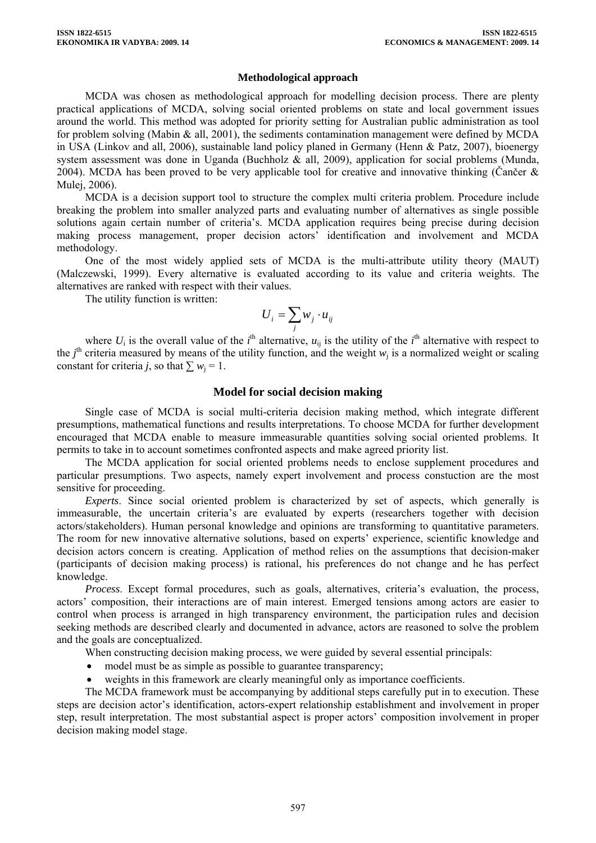#### **Methodological approach**

MCDA was chosen as methodological approach for modelling decision process. There are plenty practical applications of MCDA, solving social oriented problems on state and local government issues around the world. This method was adopted for priority setting for Australian public administration as tool for problem solving (Mabin & all, 2001), the sediments contamination management were defined by MCDA in USA (Linkov and all, 2006), sustainable land policy planed in Germany (Henn & Patz, 2007), bioenergy system assessment was done in Uganda (Buchholz & all, 2009), application for social problems (Munda, 2004). MCDA has been proved to be very applicable tool for creative and innovative thinking (Cančer  $\&$ Mulej, 2006).

MCDA is a decision support tool to structure the complex multi criteria problem. Procedure include breaking the problem into smaller analyzed parts and evaluating number of alternatives as single possible solutions again certain number of criteria's. MCDA application requires being precise during decision making process management, proper decision actors' identification and involvement and MCDA methodology.

One of the most widely applied sets of MCDA is the multi-attribute utility theory (MAUT) (Malczewski, 1999). Every alternative is evaluated according to its value and criteria weights. The alternatives are ranked with respect with their values.

The utility function is written:

$$
U_i = \sum_j w_j \cdot u_{ij}
$$

where  $U_i$  is the overall value of the *i*<sup>th</sup> alternative,  $u_{ij}$  is the utility of the *i*<sup>th</sup> alternative with respect to the  $j<sup>th</sup>$  criteria measured by means of the utility function, and the weight  $w<sub>j</sub>$  is a normalized weight or scaling constant for criteria *j*, so that  $\sum w_i = 1$ .

#### **Model for social decision making**

Single case of MCDA is social multi-criteria decision making method, which integrate different presumptions, mathematical functions and results interpretations. To choose MCDA for further development encouraged that MCDA enable to measure immeasurable quantities solving social oriented problems. It permits to take in to account sometimes confronted aspects and make agreed priority list.

The MCDA application for social oriented problems needs to enclose supplement procedures and particular presumptions. Two aspects, namely expert involvement and process constuction are the most sensitive for proceeding.

*Experts*. Since social oriented problem is characterized by set of aspects, which generally is immeasurable, the uncertain criteria's are evaluated by experts (researchers together with decision actors/stakeholders). Human personal knowledge and opinions are transforming to quantitative parameters. The room for new innovative alternative solutions, based on experts' experience, scientific knowledge and decision actors concern is creating. Application of method relies on the assumptions that decision-maker (participants of decision making process) is rational, his preferences do not change and he has perfect knowledge.

*Process*. Except formal procedures, such as goals, alternatives, criteria's evaluation, the process, actors' composition, their interactions are of main interest. Emerged tensions among actors are easier to control when process is arranged in high transparency environment, the participation rules and decision seeking methods are described clearly and documented in advance, actors are reasoned to solve the problem and the goals are conceptualized.

When constructing decision making process, we were guided by several essential principals:

- model must be as simple as possible to guarantee transparency;
- weights in this framework are clearly meaningful only as importance coefficients.

The MCDA framework must be accompanying by additional steps carefully put in to execution. These steps are decision actor's identification, actors-expert relationship establishment and involvement in proper step, result interpretation. The most substantial aspect is proper actors' composition involvement in proper decision making model stage.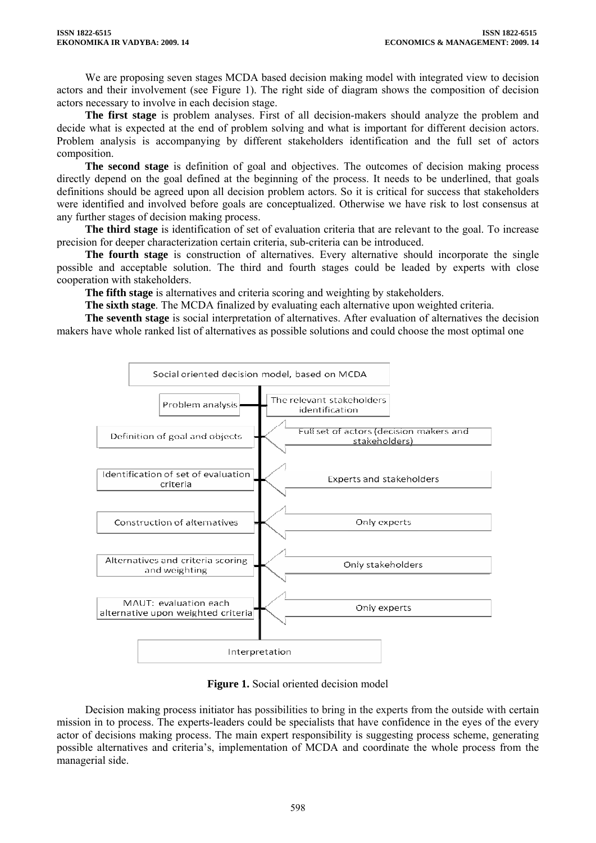We are proposing seven stages MCDA based decision making model with integrated view to decision actors and their involvement (see Figure 1). The right side of diagram shows the composition of decision actors necessary to involve in each decision stage.

**The first stage** is problem analyses. First of all decision-makers should analyze the problem and decide what is expected at the end of problem solving and what is important for different decision actors. Problem analysis is accompanying by different stakeholders identification and the full set of actors composition.

**The second stage** is definition of goal and objectives. The outcomes of decision making process directly depend on the goal defined at the beginning of the process. It needs to be underlined, that goals definitions should be agreed upon all decision problem actors. So it is critical for success that stakeholders were identified and involved before goals are conceptualized. Otherwise we have risk to lost consensus at any further stages of decision making process.

**The third stage** is identification of set of evaluation criteria that are relevant to the goal. To increase precision for deeper characterization certain criteria, sub-criteria can be introduced.

**The fourth stage** is construction of alternatives. Every alternative should incorporate the single possible and acceptable solution. The third and fourth stages could be leaded by experts with close cooperation with stakeholders.

**The fifth stage** is alternatives and criteria scoring and weighting by stakeholders.

**The sixth stage**. The MCDA finalized by evaluating each alternative upon weighted criteria.

**The seventh stage** is social interpretation of alternatives. After evaluation of alternatives the decision makers have whole ranked list of alternatives as possible solutions and could choose the most optimal one



**Figure 1.** Social oriented decision model

Decision making process initiator has possibilities to bring in the experts from the outside with certain mission in to process. The experts-leaders could be specialists that have confidence in the eyes of the every actor of decisions making process. The main expert responsibility is suggesting process scheme, generating possible alternatives and criteria's, implementation of MCDA and coordinate the whole process from the managerial side.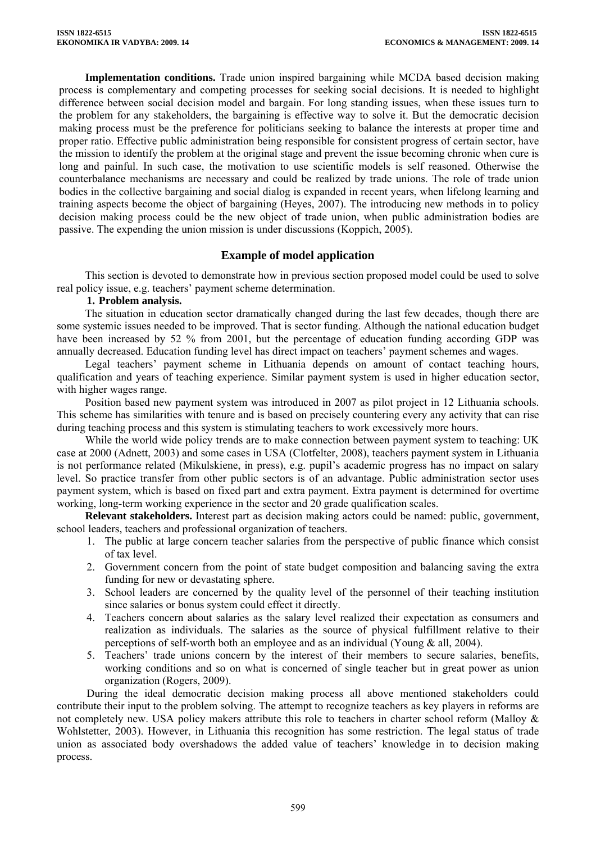**Implementation conditions.** Trade union inspired bargaining while MCDA based decision making process is complementary and competing processes for seeking social decisions. It is needed to highlight difference between social decision model and bargain. For long standing issues, when these issues turn to the problem for any stakeholders, the bargaining is effective way to solve it. But the democratic decision making process must be the preference for politicians seeking to balance the interests at proper time and proper ratio. Effective public administration being responsible for consistent progress of certain sector, have the mission to identify the problem at the original stage and prevent the issue becoming chronic when cure is long and painful. In such case, the motivation to use scientific models is self reasoned. Otherwise the counterbalance mechanisms are necessary and could be realized by trade unions. The role of trade union bodies in the collective bargaining and social dialog is expanded in recent years, when lifelong learning and training aspects become the object of bargaining (Heyes, 2007). The introducing new methods in to policy decision making process could be the new object of trade union, when public administration bodies are passive. The expending the union mission is under discussions (Koppich, 2005).

# **Example of model application**

This section is devoted to demonstrate how in previous section proposed model could be used to solve real policy issue, e.g. teachers' payment scheme determination.

## **1. Problem analysis.**

The situation in education sector dramatically changed during the last few decades, though there are some systemic issues needed to be improved. That is sector funding. Although the national education budget have been increased by 52 % from 2001, but the percentage of education funding according GDP was annually decreased. Education funding level has direct impact on teachers' payment schemes and wages.

Legal teachers' payment scheme in Lithuania depends on amount of contact teaching hours, qualification and years of teaching experience. Similar payment system is used in higher education sector, with higher wages range.

Position based new payment system was introduced in 2007 as pilot project in 12 Lithuania schools. This scheme has similarities with tenure and is based on precisely countering every any activity that can rise during teaching process and this system is stimulating teachers to work excessively more hours.

While the world wide policy trends are to make connection between payment system to teaching: UK case at 2000 (Adnett, 2003) and some cases in USA (Clotfelter, 2008), teachers payment system in Lithuania is not performance related (Mikulskiene, in press), e.g. pupil's academic progress has no impact on salary level. So practice transfer from other public sectors is of an advantage. Public administration sector uses payment system, which is based on fixed part and extra payment. Extra payment is determined for overtime working, long-term working experience in the sector and 20 grade qualification scales.

**Relevant stakeholders.** Interest part as decision making actors could be named: public, government, school leaders, teachers and professional organization of teachers.

- 1. The public at large concern teacher salaries from the perspective of public finance which consist of tax level.
- 2. Government concern from the point of state budget composition and balancing saving the extra funding for new or devastating sphere.
- 3. School leaders are concerned by the quality level of the personnel of their teaching institution since salaries or bonus system could effect it directly.
- 4. Teachers concern about salaries as the salary level realized their expectation as consumers and realization as individuals. The salaries as the source of physical fulfillment relative to their perceptions of self-worth both an employee and as an individual (Young & all, 2004).
- 5. Teachers' trade unions concern by the interest of their members to secure salaries, benefits, working conditions and so on what is concerned of single teacher but in great power as union organization (Rogers, 2009).

During the ideal democratic decision making process all above mentioned stakeholders could contribute their input to the problem solving. The attempt to recognize teachers as key players in reforms are not completely new. USA policy makers attribute this role to teachers in charter school reform (Malloy & Wohlstetter, 2003). However, in Lithuania this recognition has some restriction. The legal status of trade union as associated body overshadows the added value of teachers' knowledge in to decision making process.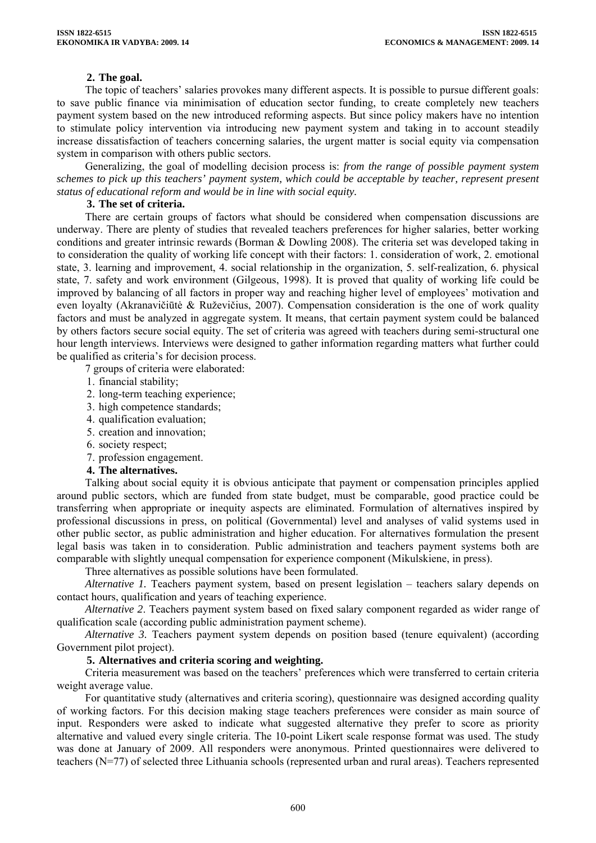### **2. The goal.**

The topic of teachers' salaries provokes many different aspects. It is possible to pursue different goals: to save public finance via minimisation of education sector funding, to create completely new teachers payment system based on the new introduced reforming aspects. But since policy makers have no intention to stimulate policy intervention via introducing new payment system and taking in to account steadily increase dissatisfaction of teachers concerning salaries, the urgent matter is social equity via compensation system in comparison with others public sectors.

Generalizing, the goal of modelling decision process is: *from the range of possible payment system schemes to pick up this teachers' payment system, which could be acceptable by teacher, represent present status of educational reform and would be in line with social equity.* 

#### **3. The set of criteria.**

There are certain groups of factors what should be considered when compensation discussions are underway. There are plenty of studies that revealed teachers preferences for higher salaries, better working conditions and greater intrinsic rewards (Borman & Dowling 2008). The criteria set was developed taking in to consideration the quality of working life concept with their factors: 1. consideration of work, 2. emotional state, 3. learning and improvement, 4. social relationship in the organization, 5. self-realization, 6. physical state, 7. safety and work environment (Gilgeous, 1998). It is proved that quality of working life could be improved by balancing of all factors in proper way and reaching higher level of employees' motivation and even loyalty (Akranavičiūtė & Ruževičius, 2007). Compensation consideration is the one of work quality factors and must be analyzed in aggregate system. It means, that certain payment system could be balanced by others factors secure social equity. The set of criteria was agreed with teachers during semi-structural one hour length interviews. Interviews were designed to gather information regarding matters what further could be qualified as criteria's for decision process.

7 groups of criteria were elaborated:

- 1. financial stability;
- 2. long-term teaching experience;
- 3. high competence standards;
- 4. qualification evaluation;
- 5. creation and innovation;
- 6. society respect;
- 7. profession engagement.

#### **4. The alternatives.**

Talking about social equity it is obvious anticipate that payment or compensation principles applied around public sectors, which are funded from state budget, must be comparable, good practice could be transferring when appropriate or inequity aspects are eliminated. Formulation of alternatives inspired by professional discussions in press, on political (Governmental) level and analyses of valid systems used in other public sector, as public administration and higher education. For alternatives formulation the present legal basis was taken in to consideration. Public administration and teachers payment systems both are comparable with slightly unequal compensation for experience component (Mikulskiene, in press).

Three alternatives as possible solutions have been formulated.

*Alternative 1.* Teachers payment system, based on present legislation – teachers salary depends on contact hours, qualification and years of teaching experience.

*Alternative 2*. Teachers payment system based on fixed salary component regarded as wider range of qualification scale (according public administration payment scheme).

*Alternative 3.* Teachers payment system depends on position based (tenure equivalent) (according Government pilot project).

#### **5. Alternatives and criteria scoring and weighting.**

Criteria measurement was based on the teachers' preferences which were transferred to certain criteria weight average value.

For quantitative study (alternatives and criteria scoring), questionnaire was designed according quality of working factors. For this decision making stage teachers preferences were consider as main source of input. Responders were asked to indicate what suggested alternative they prefer to score as priority alternative and valued every single criteria. The 10-point Likert scale response format was used. The study was done at January of 2009. All responders were anonymous. Printed questionnaires were delivered to teachers (N=77) of selected three Lithuania schools (represented urban and rural areas). Teachers represented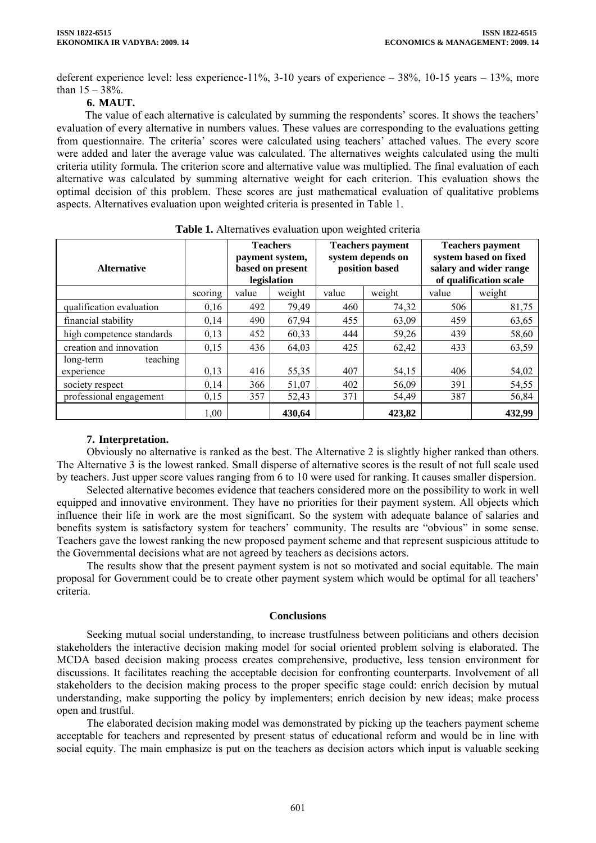deferent experience level: less experience-11%, 3-10 years of experience – 38%, 10-15 years – 13%, more than  $15 - 38\%$ .

## **6. MAUT.**

The value of each alternative is calculated by summing the respondents' scores. It shows the teachers' evaluation of every alternative in numbers values. These values are corresponding to the evaluations getting from questionnaire. The criteria' scores were calculated using teachers' attached values. The every score were added and later the average value was calculated. The alternatives weights calculated using the multi criteria utility formula. The criterion score and alternative value was multiplied. The final evaluation of each alternative was calculated by summing alternative weight for each criterion. This evaluation shows the optimal decision of this problem. These scores are just mathematical evaluation of qualitative problems aspects. Alternatives evaluation upon weighted criteria is presented in Table 1.

| <b>Alternative</b>        |         | <b>Teachers</b><br>payment system,<br>based on present<br>legislation |        | <b>Teachers payment</b><br>system depends on<br>position based |        | <b>Teachers payment</b><br>system based on fixed<br>salary and wider range<br>of qualification scale |        |
|---------------------------|---------|-----------------------------------------------------------------------|--------|----------------------------------------------------------------|--------|------------------------------------------------------------------------------------------------------|--------|
|                           | scoring | value                                                                 | weight | value                                                          | weight | value                                                                                                | weight |
| qualification evaluation  | 0,16    | 492                                                                   | 79,49  | 460                                                            | 74,32  | 506                                                                                                  | 81,75  |
| financial stability       | 0,14    | 490                                                                   | 67,94  | 455                                                            | 63,09  | 459                                                                                                  | 63,65  |
| high competence standards | 0,13    | 452                                                                   | 60,33  | 444                                                            | 59,26  | 439                                                                                                  | 58,60  |
| creation and innovation   | 0,15    | 436                                                                   | 64,03  | 425                                                            | 62,42  | 433                                                                                                  | 63,59  |
| teaching<br>long-term     |         |                                                                       |        |                                                                |        |                                                                                                      |        |
| experience                | 0,13    | 416                                                                   | 55,35  | 407                                                            | 54,15  | 406                                                                                                  | 54,02  |
| society respect           | 0,14    | 366                                                                   | 51,07  | 402                                                            | 56,09  | 391                                                                                                  | 54,55  |
| professional engagement   | 0,15    | 357                                                                   | 52,43  | 371                                                            | 54,49  | 387                                                                                                  | 56,84  |
|                           | 1,00    |                                                                       | 430.64 |                                                                | 423,82 |                                                                                                      | 432,99 |

**Table 1.** Alternatives evaluation upon weighted criteria

# **7. Interpretation.**

Obviously no alternative is ranked as the best. The Alternative 2 is slightly higher ranked than others. The Alternative 3 is the lowest ranked. Small disperse of alternative scores is the result of not full scale used by teachers. Just upper score values ranging from 6 to 10 were used for ranking. It causes smaller dispersion.

Selected alternative becomes evidence that teachers considered more on the possibility to work in well equipped and innovative environment. They have no priorities for their payment system. All objects which influence their life in work are the most significant. So the system with adequate balance of salaries and benefits system is satisfactory system for teachers' community. The results are "obvious" in some sense. Teachers gave the lowest ranking the new proposed payment scheme and that represent suspicious attitude to the Governmental decisions what are not agreed by teachers as decisions actors.

The results show that the present payment system is not so motivated and social equitable. The main proposal for Government could be to create other payment system which would be optimal for all teachers' criteria.

#### **Conclusions**

Seeking mutual social understanding, to increase trustfulness between politicians and others decision stakeholders the interactive decision making model for social oriented problem solving is elaborated. The MCDA based decision making process creates comprehensive, productive, less tension environment for discussions. It facilitates reaching the acceptable decision for confronting counterparts. Involvement of all stakeholders to the decision making process to the proper specific stage could: enrich decision by mutual understanding, make supporting the policy by implementers; enrich decision by new ideas; make process open and trustful.

The elaborated decision making model was demonstrated by picking up the teachers payment scheme acceptable for teachers and represented by present status of educational reform and would be in line with social equity. The main emphasize is put on the teachers as decision actors which input is valuable seeking